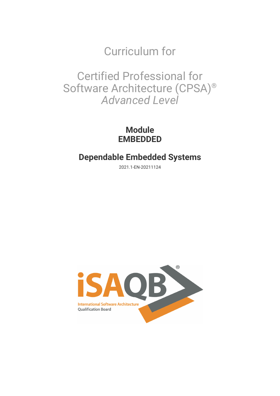Curriculum for

Certified Professional for Software Architecture (CPSA)® *Advanced Level*

> **Module EMBEDDED**

# **Dependable Embedded Systems**

2021.1-EN-20211124

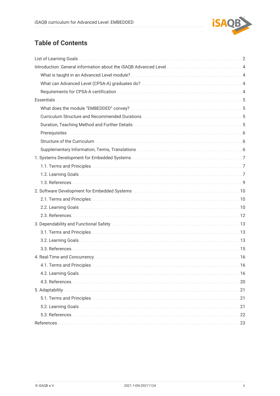

# **Table of Contents**

| 4.1. Terms and Principles.<br>16 |
|----------------------------------|
|                                  |
|                                  |
|                                  |
|                                  |
|                                  |
|                                  |
|                                  |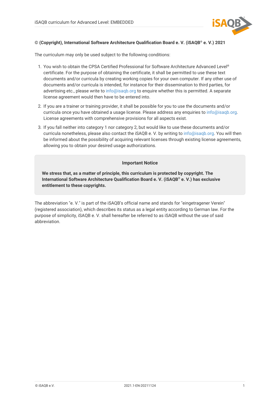

#### **© (Copyright), International Software Architecture Qualification Board e. V. (iSAQB® e. V.) 2021**

The curriculum may only be used subject to the following conditions:

- 1. You wish to obtain the CPSA Certified Professional for Software Architecture Advanced Level® certificate. For the purpose of obtaining the certificate, it shall be permitted to use these text documents and/or curricula by creating working copies for your own computer. If any other use of documents and/or curricula is intended, for instance for their dissemination to third parties, for advertising etc., please write to [info@isaqb.org](mailto:info@isaqb.org) to enquire whether this is permitted. A separate license agreement would then have to be entered into.
- 2. If you are a trainer or training provider, it shall be possible for you to use the documents and/or curricula once you have obtained a usage license. Please address any enquiries to [info@isaqb.org.](mailto:info@isaqb.org) License agreements with comprehensive provisions for all aspects exist.
- 3. If you fall neither into category 1 nor category 2, but would like to use these documents and/or curricula nonetheless, please also contact the iSAQB e. V. by writing to [info@isaqb.org](mailto:info@isaqb.org). You will then be informed about the possibility of acquiring relevant licenses through existing license agreements, allowing you to obtain your desired usage authorizations.

#### **Important Notice**

**We stress that, as a matter of principle, this curriculum is protected by copyright. The International Software Architecture Qualification Board e. V. (iSAQB® e. V.) has exclusive entitlement to these copyrights.**

The abbreviation "e. V." is part of the iSAQB's official name and stands for "eingetragener Verein" (registered association), which describes its status as a legal entity according to German law. For the purpose of simplicity, iSAQB e. V. shall hereafter be referred to as iSAQB without the use of said abbreviation.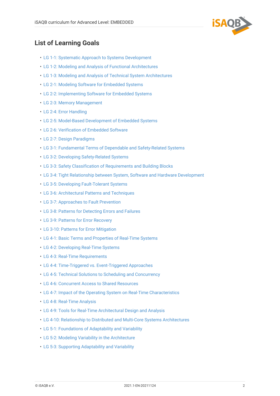

## <span id="page-3-0"></span>**List of Learning Goals**

- [LG 1-1: Systematic Approach to Systems Development](#page-8-3)
- [LG 1-2: Modeling and Analysis of Functional Architectures](#page-8-4)
- [LG 1-3: Modeling and Analysis of Technical System Architectures](#page-9-0)
- [LG 2-1: Modeling Software for Embedded Systems](#page-11-3)
- [LG 2-2: Implementing Software for Embedded Systems](#page-11-4)
- [LG 2-3: Memory Management](#page-11-5)
- [LG 2-4: Error Handling](#page-12-0)
- [LG 2-5: Model-Based Development of Embedded Systems](#page-12-1)
- [LG 2-6: Verification of Embedded Software](#page-12-2)
- [LG 2-7: Design Paradigms](#page-13-1)
- [LG 3-1: Fundamental Terms of Dependable and Safety-Related Systems](#page-14-3)
- [LG 3-2: Developing Safety-Related Systems](#page-14-4)
- [LG 3-3: Safety Classification of Requirements and Building Blocks](#page-14-5)
- [LG 3-4: Tight Relationship between System, Software and Hardware Development](#page-15-0)
- [LG 3-5: Developing Fault-Tolerant Systems](#page-15-1)
- [LG 3-6: Architectural Patterns and Techniques](#page-15-2)
- [LG 3-7: Approaches to Fault Prevention](#page-16-1)
- [LG 3-8: Patterns for Detecting Errors and Failures](#page-16-2)
- [LG 3-9: Patterns for Error Recovery](#page-16-3)
- [LG 3-10: Patterns for Error Mitigation](#page-16-4)
- [LG 4-1: Basic Terms and Properties of Real-Time Systems](#page-17-3)
- [LG 4-2: Developing Real-Time Systems](#page-17-4)
- [LG 4-3: Real-Time Requirements](#page-18-0)
- [LG 4-4: Time-Triggered vs. Event-Triggered Approaches](#page-18-1)
- [LG 4-5: Technical Solutions to Scheduling and Concurrency](#page-18-2)
- [LG 4-6: Concurrent Access to Shared Resources](#page-19-0)
- [LG 4-7: Impact of the Operating System on Real-Time Characteristics](#page-19-1)
- [LG 4-8: Real-Time Analysis](#page-20-0)
- [LG 4-9: Tools for Real-Time Architectural Design and Analysis](#page-20-1)
- [LG 4-10: Relationship to Distributed and Multi-Core Systems Architectures](#page-21-1)
- [LG 5-1: Foundations of Adaptability and Variability](#page-22-3)
- [LG 5-2: Modeling Variability in the Architecture](#page-22-4)
- [LG 5-3: Supporting Adaptability and Variability](#page-22-5)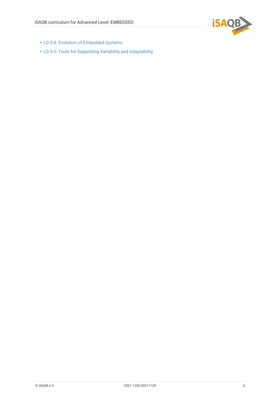

- [LG 5-4: Evolution of Embedded Systems](#page-23-1)
- [LG 5-5: Tools for Supporting Variability and Adaptability](#page-23-2)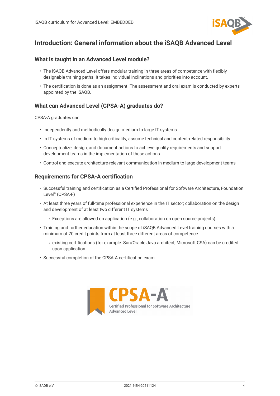

## <span id="page-5-0"></span>**Introduction: General information about the iSAQB Advanced Level**

### <span id="page-5-1"></span>**What is taught in an Advanced Level module?**

- The iSAQB Advanced Level offers modular training in three areas of competence with flexibly designable training paths. It takes individual inclinations and priorities into account.
- The certification is done as an assignment. The assessment and oral exam is conducted by experts appointed by the iSAQB.

## <span id="page-5-2"></span>**What can Advanced Level (CPSA-A) graduates do?**

CPSA-A graduates can:

- Independently and methodically design medium to large IT systems
- In IT systems of medium to high criticality, assume technical and content-related responsibility
- Conceptualize, design, and document actions to achieve quality requirements and support development teams in the implementation of these actions
- Control and execute architecture-relevant communication in medium to large development teams

### <span id="page-5-3"></span>**Requirements for CPSA-A certification**

- Successful training and certification as a Certified Professional for Software Architecture, Foundation Level® (CPSA-F)
- At least three years of full-time professional experience in the IT sector; collaboration on the design and development of at least two different IT systems
	- Exceptions are allowed on application (e.g., collaboration on open source projects)
- Training and further education within the scope of iSAQB Advanced Level training courses with a minimum of 70 credit points from at least three different areas of competence
	- existing certifications (for example: Sun/Oracle Java architect, Microsoft CSA) can be credited upon application
- Successful completion of the CPSA-A certification exam

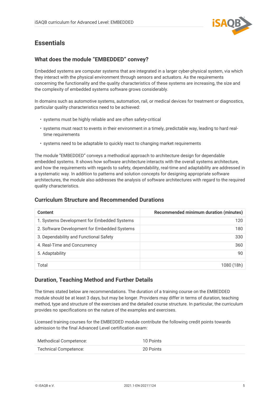

## <span id="page-6-0"></span>**Essentials**

## <span id="page-6-1"></span>**What does the module "EMBEDDED" convey?**

Embedded systems are computer systems that are integrated in a larger cyber-physical system, via which they interact with the physical environment through sensors and actuators. As the requirements concerning the functionality and the quality characteristics of these systems are increasing, the size and the complexity of embedded systems software grows considerably.

In domains such as automotive systems, automation, rail, or medical devices for treatment or diagnostics, particular quality characteristics need to be achieved:

- systems must be highly reliable and are often safety-critical
- systems must react to events in their environment in a timely, predictable way, leading to hard realtime requirements
- systems need to be adaptable to quickly react to changing market requirements

The module "EMBEDDED" conveys a methodical approach to architecture design for dependable embedded systems. It shows how software architecture interacts with the overall systems architecture, and how the requirements with regards to safety, dependability, real-time and adaptability are addressed in a systematic way. In addition to patterns and solution concepts for designing appropriate software architectures, the module also addresses the analysis of software architectures with regard to the required quality characteristics.

## <span id="page-6-2"></span>**Curriculum Structure and Recommended Durations**

| <b>Content</b>                               | <b>Recommended minimum duration (minutes)</b> |
|----------------------------------------------|-----------------------------------------------|
| 1. Systems Development for Embedded Systems  | 120                                           |
| 2. Software Development for Embedded Systems | 180                                           |
| 3. Dependability and Functional Safety       | 330                                           |
| 4. Real-Time and Concurrency                 | 360                                           |
| 5. Adaptability                              | 90                                            |
|                                              |                                               |
| Total                                        | 1080 (18h)                                    |

## <span id="page-6-3"></span>**Duration, Teaching Method and Further Details**

The times stated below are recommendations. The duration of a training course on the EMBEDDED module should be at least 3 days, but may be longer. Providers may differ in terms of duration, teaching method, type and structure of the exercises and the detailed course structure. In particular, the curriculum provides no specifications on the nature of the examples and exercises.

Licensed training courses for the EMBEDDED module contribute the following credit points towards admission to the final Advanced Level certification exam:

| Methodical Competence: | 10 Points |
|------------------------|-----------|
| Technical Competence:  | 20 Points |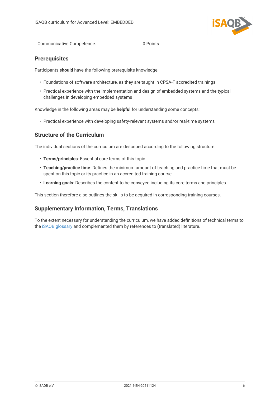

Communicative Competence: 0 Points

### <span id="page-7-0"></span>**Prerequisites**

Participants **should** have the following prerequisite knowledge:

- Foundations of software architecture, as they are taught in CPSA-F accredited trainings
- Practical experience with the implementation and design of embedded systems and the typical challenges in developing embedded systems

Knowledge in the following areas may be **helpful** for understanding some concepts:

• Practical experience with developing safety-relevant systems and/or real-time systems

### <span id="page-7-1"></span>**Structure of the Curriculum**

The individual sections of the curriculum are described according to the following structure:

- **Terms/principles**: Essential core terms of this topic.
- **Teaching/practice time**: Defines the minimum amount of teaching and practice time that must be spent on this topic or its practice in an accredited training course.
- **Learning goals**: Describes the content to be conveyed including its core terms and principles.

This section therefore also outlines the skills to be acquired in corresponding training courses.

## <span id="page-7-2"></span>**Supplementary Information, Terms, Translations**

To the extent necessary for understanding the curriculum, we have added definitions of technical terms to the [iSAQB glossary](https://github.com/isaqb-org/glossary) and complemented them by references to (translated) literature.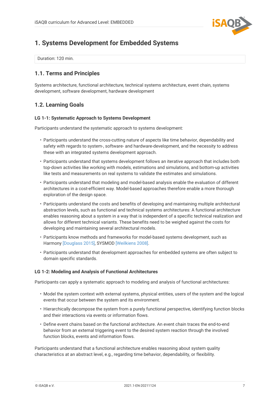

## <span id="page-8-0"></span>**1. Systems Development for Embedded Systems**

Duration: 120 min.

## <span id="page-8-1"></span>**1.1. Terms and Principles**

Systems architecture, functional architecture, technical systems architecture, event chain, systems development, software development, hardware development

## <span id="page-8-2"></span>**1.2. Learning Goals**

#### <span id="page-8-3"></span>**LG 1-1: Systematic Approach to Systems Development**

Participants understand the systematic approach to systems development:

- Participants understand the cross-cutting nature of aspects like time behavior, dependability and safety with regards to system-, software- and hardware-development, and the necessity to address these with an integrated systems development approach.
- Participants understand that systems development follows an iterative approach that includes both top-down activities like working with models, estimations and simulations, and bottom-up activities like tests and measurements on real systems to validate the estimates and simulations.
- Participants understand that modeling and model-based analysis enable the evaluation of different architectures in a cost-efficient way. Model-based approaches therefore enable a more thorough exploration of the design space.
- Participants understand the costs and benefits of developing and maintaining multiple architectural abstraction levels, such as functional and technical systems architectures: A functional architecture enables reasoning about a system in a way that is independent of a specific technical realization and allows for different technical variants. These benefits need to be weighed against the costs for developing and maintaining several architectural models.
- Participants know methods and frameworks for model-based systems development, such as Harmony [\[Douglass 2015\],](#page-24-1) SYSMOD [\[Weilkiens 2008\]](#page-25-0).
- Participants understand that development approaches for embedded systems are often subject to domain specific standards.

#### <span id="page-8-4"></span>**LG 1-2: Modeling and Analysis of Functional Architectures**

Participants can apply a systematic approach to modeling and analysis of functional architectures:

- Model the system context with external systems, physical entities, users of the system and the logical events that occur between the system and its environment.
- Hierarchically decompose the system from a purely functional perspective, identifying function blocks and their interactions via events or information flows.
- Define event chains based on the functional architecture. An event chain traces the end-to-end behavior from an external triggering event to the desired system reaction through the involved function blocks, events and information flows.

Participants understand that a functional architecture enables reasoning about system quality characteristics at an abstract level, e.g., regarding time behavior, dependability, or flexibility.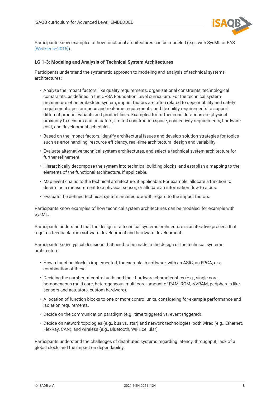

Participants know examples of how functional architectures can be modeled (e.g., with SysML or FAS [\[Weilkiens+2015\]\)](#page-25-1).

#### <span id="page-9-0"></span>**LG 1-3: Modeling and Analysis of Technical System Architectures**

Participants understand the systematic approach to modeling and analysis of technical systems architectures:

- Analyze the impact factors, like quality requirements, organizational constraints, technological constraints, as defined in the CPSA Foundation Level curriculum. For the technical system architecture of an embedded system, impact factors are often related to dependability and safety requirements, performance and real-time requirements, and flexibility requirements to support different product variants and product lines. Examples for further considerations are physical proximity to sensors and actuators, limited construction space, connectivity requirements, hardware cost, and development schedules.
- Based on the impact factors, identify architectural issues and develop solution strategies for topics such as error handling, resource efficiency, real-time architectural design and variability.
- Evaluate alternative technical system architectures, and select a technical system architecture for further refinement.
- Hierarchically decompose the system into technical building blocks, and establish a mapping to the elements of the functional architecture, if applicable.
- Map event chains to the technical architecture, if applicable: For example, allocate a function to determine a measurement to a physical sensor, or allocate an information flow to a bus.
- Evaluate the defined technical system architecture with regard to the impact factors.

Participants know examples of how technical system architectures can be modeled, for example with SysML.

Participants understand that the design of a technical systems architecture is an iterative process that requires feedback from software development and hardware development.

Participants know typical decisions that need to be made in the design of the technical systems architecture:

- How a function block is implemented, for example in software, with an ASIC, an FPGA, or a combination of these.
- Deciding the number of control units and their hardware characteristics (e.g., single core, homogeneous multi core, heterogeneous multi core, amount of RAM, ROM, NVRAM, peripherals like sensors and actuators, custom hardware).
- Allocation of function blocks to one or more control units, considering for example performance and isolation requirements.
- Decide on the communication paradigm (e.g., time triggered vs. event triggered).
- Decide on network topologies (e.g., bus vs. star) and network technologies, both wired (e.g., Ethernet, FlexRay, CAN), and wireless (e.g., Bluetooth, WiFi, cellular).

Participants understand the challenges of distributed systems regarding latency, throughput, lack of a global clock, and the impact on dependability.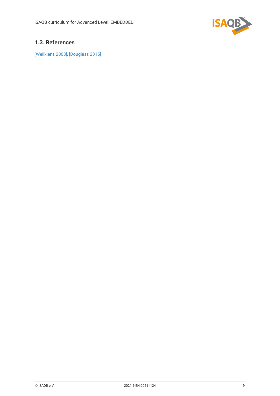

## <span id="page-10-0"></span>**1.3. References**

[\[Weilkiens 2008\],](#page-25-0) [\[Douglass 2015\]](#page-24-1)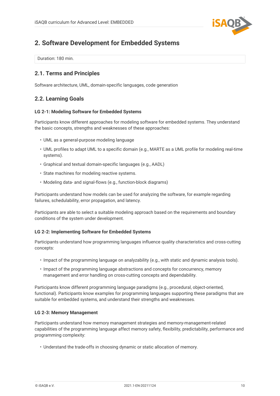

## <span id="page-11-0"></span>**2. Software Development for Embedded Systems**

Duration: 180 min.

## <span id="page-11-1"></span>**2.1. Terms and Principles**

Software architecture, UML, domain-specific languages, code generation

## <span id="page-11-2"></span>**2.2. Learning Goals**

#### <span id="page-11-3"></span>**LG 2-1: Modeling Software for Embedded Systems**

Participants know different approaches for modeling software for embedded systems. They understand the basic concepts, strengths and weaknesses of these approaches:

- UML as a general-purpose modeling language
- UML profiles to adapt UML to a specific domain (e.g., MARTE as a UML profile for modeling real-time systems).
- Graphical and textual domain-specific languages (e.g., AADL)
- State machines for modeling reactive systems.
- Modeling data- and signal-flows (e.g., function-block diagrams)

Participants understand how models can be used for analyzing the software, for example regarding failures, schedulability, error propagation, and latency.

Participants are able to select a suitable modeling approach based on the requirements and boundary conditions of the system under development.

#### <span id="page-11-4"></span>**LG 2-2: Implementing Software for Embedded Systems**

Participants understand how programming languages influence quality characteristics and cross-cutting concepts:

- Impact of the programming language on analyzability (e.g., with static and dynamic analysis tools).
- Impact of the programming language abstractions and concepts for concurrency, memory management and error handling on cross-cutting concepts and dependability.

Participants know different programming language paradigms (e.g., procedural, object-oriented, functional). Participants know examples for programming languages supporting these paradigms that are suitable for embedded systems, and understand their strengths and weaknesses.

#### <span id="page-11-5"></span>**LG 2-3: Memory Management**

Participants understand how memory management strategies and memory-management-related capabilities of the programming language affect memory safety, flexibility, predictability, performance and programming complexity:

• Understand the trade-offs in choosing dynamic or static allocation of memory.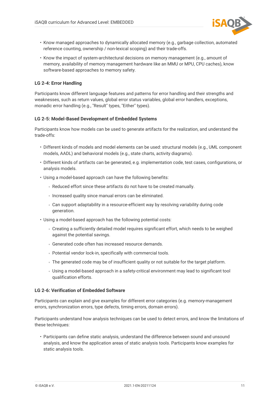

- Know managed approaches to dynamically allocated memory (e.g., garbage collection, automated reference counting, ownership / non-lexical scoping) and their trade-offs.
- Know the impact of system-architectural decisions on memory management (e.g., amount of memory, availability of memory management hardware like an MMU or MPU, CPU caches), know software-based approaches to memory safety.

#### <span id="page-12-0"></span>**LG 2-4: Error Handling**

Participants know different language features and patterns for error handling and their strengths and weaknesses, such as return values, global error status variables, global error handlers, exceptions, monadic error handling (e.g., "Result" types, "Either" types).

#### <span id="page-12-1"></span>**LG 2-5: Model-Based Development of Embedded Systems**

Participants know how models can be used to generate artifacts for the realization, and understand the trade-offs:

- Different kinds of models and model elements can be used: structural models (e.g., UML component models, AADL) and behavioral models (e.g., state charts, activity diagrams).
- Different kinds of artifacts can be generated, e.g. implementation code, test cases, configurations, or analysis models.
- Using a model-based approach can have the following benefits:
	- Reduced effort since these artifacts do not have to be created manually.
	- Increased quality since manual errors can be eliminated.
	- Can support adaptability in a resource-efficient way by resolving variability during code generation.
- Using a model-based approach has the following potential costs:
	- Creating a sufficiently detailed model requires significant effort, which needs to be weighed against the potential savings.
	- Generated code often has increased resource demands.
	- Potential vendor lock-in, specifically with commercial tools.
	- The generated code may be of insufficient quality or not suitable for the target platform.
	- Using a model-based approach in a safety-critical environment may lead to significant tool qualification efforts.

#### <span id="page-12-2"></span>**LG 2-6: Verification of Embedded Software**

Participants can explain and give examples for different error categories (e.g. memory-management errors, synchronization errors, type defects, timing errors, domain errors).

Participants understand how analysis techniques can be used to detect errors, and know the limitations of these techniques:

• Participants can define static analysis, understand the difference between sound and unsound analysis, and know the application areas of static analysis tools. Participants know examples for static analysis tools.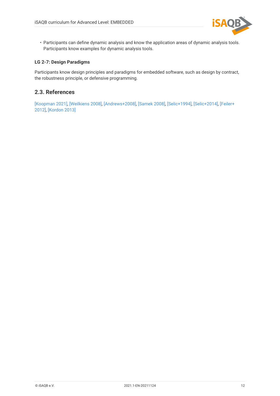

• Participants can define dynamic analysis and know the application areas of dynamic analysis tools. Participants know examples for dynamic analysis tools.

#### <span id="page-13-1"></span>**LG 2-7: Design Paradigms**

Participants know design principles and paradigms for embedded software, such as design by contract, the robustness principle, or defensive programming.

## <span id="page-13-0"></span>**2.3. References**

[\[Koopman 2021\]](#page-24-2), [\[Weilkiens 2008\]](#page-25-0), [\[Andrews+2008\]](#page-24-3), [\[Samek 2008\]](#page-25-2), [\[Selic+1994\]](#page-25-3), [\[Selic+2014\],](#page-25-4) [\[Feiler+](#page-24-4) [2012\],](#page-24-4) [\[Kordon 2013\]](#page-24-5)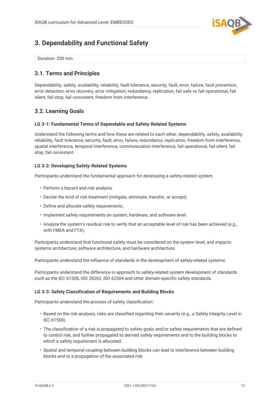

## <span id="page-14-0"></span>**3. Dependability and Functional Safety**

Duration: 330 min.

### <span id="page-14-1"></span>**3.1. Terms and Principles**

Dependability, safety, availability, reliability, fault tolerance, security, fault, error, failure, fault prevention, error detection, error recovery, error mitigation, redundancy, replication, fail safe vs fail operational, fail silent, fail stop, fail consistent, freedom from interference.

## <span id="page-14-2"></span>**3.2. Learning Goals**

#### <span id="page-14-3"></span>**LG 3-1: Fundamental Terms of Dependable and Safety-Related Systems**

Understand the following terms and how these are related to each other: dependability, safety, availability, reliability, fault tolerance, security, fault, error, failure, redundancy, replication, freedom from interference, spatial interference, temporal interference, communication interference, fail operational, fail silent, fail stop, fail consistent.

#### <span id="page-14-4"></span>**LG 3-2: Developing Safety-Related Systems**

Participants understand the fundamental approach for developing a safety-related system:

- Perform a hazard and risk analysis.
- Decide the kind of risk treatment (mitigate, eliminate, transfer, or accept).
- Define and allocate safety requirements.
- Implement safety requirements on system, hardware, and software level.
- Analyze the system's residual risk to verify that an acceptable level of risk has been achieved (e.g., with FMEA and FTA).

Participants understand that functional safety must be considered on the system level, and impacts systems architecture, software architecture, and hardware architecture.

Participants understand the influence of standards in the development of safety-related systems.

Participants understand the difference in approach to safety-related system development of standards such as the IEC 61508, ISO 26262, ISO 62304 and other domain-specific safety standards.

#### <span id="page-14-5"></span>**LG 3-3: Safety Classification of Requirements and Building Blocks**

Participants understand the process of safety classification:

- Based on the risk analysis, risks are classified regarding their severity (e.g., a Safety Integrity Level in IEC 61508).
- The classification of a risk is propagated to safety goals and/or safety requirements that are defined to control risk, and further propagated to derived safety requirements and to the building blocks to which a safety requirement is allocated.
- Spatial and temporal coupling between building blocks can lead to interference between building blocks and to a propagation of the associated risk.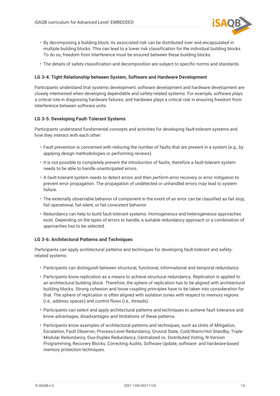

- By decomposing a building block, its associated risk can be distributed over and encapsulated in multiple building blocks. This can lead to a lower risk classification for the individual building blocks. To do so, freedom from interference must be ensured between these building blocks.
- The details of safety classification and decomposition are subject to specific norms and standards.

#### <span id="page-15-0"></span>**LG 3-4: Tight Relationship between System, Software and Hardware Development**

Participants understand that systems development, software development and hardware development are closely intertwined when developing dependable and safety-related systems. For example, software plays a critical role in diagnosing hardware failures, and hardware plays a critical role in ensuring freedom from interference between software units.

#### <span id="page-15-1"></span>**LG 3-5: Developing Fault-Tolerant Systems**

Participants understand fundamental concepts and activities for developing fault-tolerant systems and how they interact with each other:

- Fault prevention is concerned with reducing the number of faults that are present in a system (e.g., by applying design methodologies or performing reviews).
- It is not possible to completely prevent the introduction of faults, therefore a fault-tolerant system needs to be able to handle unanticipated errors.
- A fault-tolerant system needs to detect errors and then perform error recovery or error mitigation to prevent error propagation. The propagation of undetected or unhandled errors may lead to system failure.
- The externally observable behavior of component in the event of an error can be classified as fail stop, fail operational, fail silent, or fail consistent behavior.
- Redundancy can help to build fault-tolerant systems. Homogeneous and heterogeneous approaches exist. Depending on the types of errors to handle, a suitable redundancy approach or a combination of approaches has to be selected.

#### <span id="page-15-2"></span>**LG 3-6: Architectural Patterns and Techniques**

Participants can apply architectural patterns and techniques for developing fault-tolerant and safetyrelated systems:

- Participants can distinguish between structural, functional, informational and temporal redundancy.
- Participants know replication as a means to achieve structural redundancy. Replication is applied to an architectural building block. Therefore, the sphere of replication has to be aligned with architectural building blocks. Strong cohesion and loose coupling principles have to be taken into consideration for that. The sphere of replication is often aligned with isolation zones with respect to memory regions (i.e., address spaces) and control flows (i.e., threads).
- Participants can select and apply architectural patterns and techniques to achieve fault tolerance and know advantages, disadvantages and limitations of these patterns.
- Participants know examples of architectural patterns and techniques, such as Units of Mitigation, Escalation, Fault Observer, Process-Level Redundancy, Ground State, Cold/Warm/Hot Standby, Triple-Modular Redundancy, Duo-Duplex Redundancy, Centralized vs. Distributed Voting, N-Version Programming, Recovery Blocks, Correcting Audits, Software Update, software- and hardware-based memory protection techniques.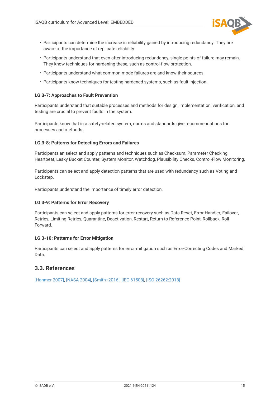

- Participants can determine the increase in reliability gained by introducing redundancy. They are aware of the importance of replicate reliability.
- Participants understand that even after introducing redundancy, single points of failure may remain. They know techniques for hardening these, such as control-flow protection.
- Participants understand what common-mode failures are and know their sources.
- Participants know techniques for testing hardened systems, such as fault injection.

#### <span id="page-16-1"></span>**LG 3-7: Approaches to Fault Prevention**

Participants understand that suitable processes and methods for design, implementation, verification, and testing are crucial to prevent faults in the system.

Participants know that in a safety-related system, norms and standards give recommendations for processes and methods.

#### <span id="page-16-2"></span>**LG 3-8: Patterns for Detecting Errors and Failures**

Participants an select and apply patterns and techniques such as Checksum, Parameter Checking, Heartbeat, Leaky Bucket Counter, System Monitor, Watchdog, Plausibility Checks, Control-Flow Monitoring.

Participants can select and apply detection patterns that are used with redundancy such as Voting and Lockstep.

Participants understand the importance of timely error detection.

#### <span id="page-16-3"></span>**LG 3-9: Patterns for Error Recovery**

Participants can select and apply patterns for error recovery such as Data Reset, Error Handler, Failover, Retries, Limiting Retries, Quarantine, Deactivation, Restart, Return to Reference Point, Rollback, Roll-Forward.

#### <span id="page-16-4"></span>**LG 3-10: Patterns for Error Mitigation**

Participants can select and apply patterns for error mitigation such as Error-Correcting Codes and Marked Data.

### <span id="page-16-0"></span>**3.3. References**

[\[Hanmer 2007\]](#page-24-6), [\[NASA 2004\],](#page-25-5) [\[Smith+2016\]](#page-25-6), [\[IEC 61508\],](#page-25-7) [\[ISO 26262:2018\]](#page-25-8)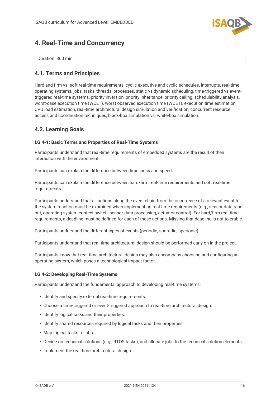

## <span id="page-17-0"></span>**4. Real-Time and Concurrency**

Duration: 360 min.

## <span id="page-17-1"></span>**4.1. Terms and Principles**

Hard and firm vs. soft real-time requirements, cyclic executive and cyclic schedules, interrupts, real-time operating systems, jobs, tasks, threads, processes, static vs dynamic scheduling, time-triggered vs eventtriggered real-time systems, priority inversion, priority inheritance, priority ceiling, schedulability analysis, worst-case execution time (WCET), worst observed execution time (WOET), execution time estimation, CPU load estimation, real-time architectural design simulation and verification, concurrent resource access and coordination techniques, black-box simulation vs. white-box simulation.

## <span id="page-17-2"></span>**4.2. Learning Goals**

#### <span id="page-17-3"></span>**LG 4-1: Basic Terms and Properties of Real-Time Systems**

Participants understand that real-time requirements of embedded systems are the result of their interaction with the environment.

Participants can explain the difference between timeliness and speed.

Participants can explain the difference between hard/firm real-time requirements and soft real-time requirements.

Participants understand that all actions along the event chain from the occurrence of a relevant event to the system reaction must be examined when implementing real-time requirements (e.g., sensor data readout, operating-system context switch, sensor-data processing, actuator control). For hard/firm real-time requirements, a deadline must be defined for each of these actions. Missing that deadline is not tolerable.

Participants understand the different types of events (periodic, sporadic, aperiodic).

Participants understand that real-time architectural design should be performed early on in the project.

Participants know that real-time architectural design may also encompass choosing and configuring an operating system, which poses a technological impact factor.

#### <span id="page-17-4"></span>**LG 4-2: Developing Real-Time Systems**

Participants understand the fundamental approach to developing real-time systems:

- Identify and specify external real-time requirements.
- Choose a time-triggered or event-triggered approach to real-time architectural design.
- Identify logical tasks and their properties.
- Identify shared resources required by logical tasks and their properties.
- Map logical tasks to jobs.
- Decide on technical solutions (e.g., RTOS tasks), and allocate jobs to the technical solution elements.
- Implement the real-time architectural design.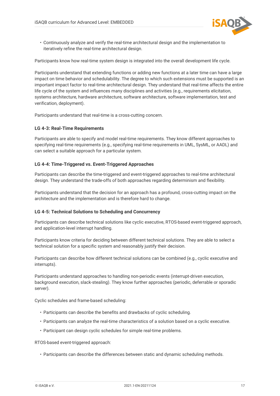

• Continuously analyze and verify the real-time architectural design and the implementation to iteratively refine the real-time architectural design.

Participants know how real-time system design is integrated into the overall development life cycle.

Participants understand that extending functions or adding new functions at a later time can have a large impact on time behavior and schedulability. The degree to which such extensions must be supported is an important impact factor to real-time architectural design. They understand that real-time affects the entire life cycle of the system and influences many disciplines and activities (e.g., requirements elicitation, systems architecture, hardware architecture, software architecture, software implementation, test and verification, deployment).

Participants understand that real-time is a cross-cutting concern.

#### <span id="page-18-0"></span>**LG 4-3: Real-Time Requirements**

Participants are able to specify and model real-time requirements. They know different approaches to specifying real-time requirements (e.g., specifying real-time requirements in UML, SysML, or AADL) and can select a suitable approach for a particular system.

#### <span id="page-18-1"></span>**LG 4-4: Time-Triggered vs. Event-Triggered Approaches**

Participants can describe the time-triggered and event-triggered approaches to real-time architectural design. They understand the trade-offs of both approaches regarding determinism and flexibility.

Participants understand that the decision for an approach has a profound, cross-cutting impact on the architecture and the implementation and is therefore hard to change.

#### <span id="page-18-2"></span>**LG 4-5: Technical Solutions to Scheduling and Concurrency**

Participants can describe technical solutions like cyclic executive, RTOS-based event-triggered approach, and application-level interrupt handling.

Participants know criteria for deciding between different technical solutions. They are able to select a technical solution for a specific system and reasonably justify their decision.

Participants can describe how different technical solutions can be combined (e.g., cyclic executive and interrupts).

Participants understand approaches to handling non-periodic events (interrupt-driven execution, background execution, slack-stealing). They know further approaches (periodic, deferrable or sporadic server).

Cyclic schedules and frame-based scheduling:

- Participants can describe the benefits and drawbacks of cyclic scheduling.
- Participants can analyze the real-time characteristics of a solution based on a cyclic executive.
- Participant can design cyclic schedules for simple real-time problems.

RTOS-based event-triggered approach:

• Participants can describe the differences between static and dynamic scheduling methods.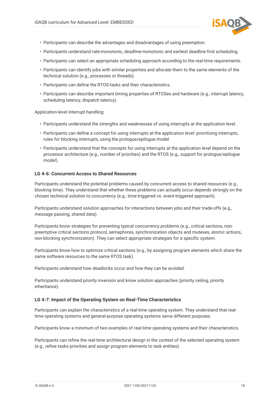

- Participants can describe the advantages and disadvantages of using preemption.
- Participants understand rate-monotonic, deadline-monotonic and earliest deadline first scheduling.
- Participants can select an appropriate scheduling approach according to the real-time requirements.
- Participants can identify jobs with similar properties and allocate them to the same elements of the technical solution (e.g., processes or threads).
- Participants can define the RTOS-tasks and their characteristics.
- Participants can describe important timing properties of RTOSes and hardware (e.g., interrupt latency, scheduling latency, dispatch latency)

Application-level interrupt handling:

- Participants understand the strengths and weaknesses of using interrupts at the application level.
- Participants can define a concept for using interrupts at the application level: prioritizing interrupts, rules for blocking interrupts, using the prologue/epilogue model
- Participants understand that the concepts for using interrupts at the application level depend on the processor architecture (e.g., number of priorities) and the RTOS (e.g., support for prologue/epilogue model).

#### <span id="page-19-0"></span>**LG 4-6: Concurrent Access to Shared Resources**

Participants understand the potential problems caused by concurrent access to shared resources (e.g., blocking time). They understand that whether these problems can actually occur depends strongly on the chosen technical solution to concurrency (e.g., time-triggered vs. event-triggered approach).

Participants understand solution approaches for interactions between jobs and their trade-offs (e.g., message passing, shared data).

Participants know strategies for preventing typical concurrency problems (e.g., critical sections, nonpreemptive critical sections protocol, semaphores, synchronization objects and mutexes, atomic actions, non-blocking synchronization). They can select appropriate strategies for a specific system.

Participants know how to optimize critical sections (e.g., by assigning program elements which share the same software resources to the same RTOS task).

Participants understand how deadlocks occur and how they can be avoided.

Participants understand priority inversion and know solution approaches (priority ceiling, priority inheritance).

#### <span id="page-19-1"></span>**LG 4-7: Impact of the Operating System on Real-Time Characteristics**

Participants can explain the characteristics of a real-time operating system. They understand that realtime operating systems and general-purpose operating systems serve different purposes.

Participants know a minimum of two examples of real-time operating systems and their characteristics.

Participants can refine the real-time architectural design in the context of the selected operating system (e.g., refine tasks priorities and assign program elements to task entities).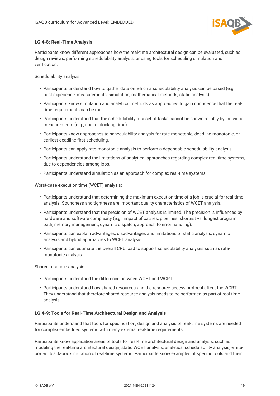

#### <span id="page-20-0"></span>**LG 4-8: Real-Time Analysis**

Participants know different approaches how the real-time architectural design can be evaluated, such as design reviews, performing schedulability analysis, or using tools for scheduling simulation and verification.

Schedulability analysis:

- Participants understand how to gather data on which a schedulability analysis can be based (e.g., past experience, measurements, simulation, mathematical methods, static analysis).
- Participants know simulation and analytical methods as approaches to gain confidence that the realtime requirements can be met.
- Participants understand that the schedulability of a set of tasks cannot be shown reliably by individual measurements (e.g., due to blocking time).
- Participants know approaches to schedulability analysis for rate-monotonic, deadline-monotonic, or earliest-deadline-first scheduling.
- Participants can apply rate-monotonic analysis to perform a dependable schedulability analysis.
- Participants understand the limitations of analytical approaches regarding complex real-time systems, due to dependencies among jobs.
- Participants understand simulation as an approach for complex real-time systems.

Worst-case execution time (WCET) analysis:

- Participants understand that determining the maximum execution time of a job is crucial for real-time analysis. Soundness and tightness are important quality characteristics of WCET analysis.
- Participants understand that the precision of WCET analysis is limited. The precision is influenced by hardware and software complexity (e.g., impact of caches, pipelines, shortest vs. longest program path, memory management, dynamic dispatch, approach to error handling).
- Participants can explain advantages, disadvantages and limitations of static analysis, dynamic analysis and hybrid approaches to WCET analysis.
- Participants can estimate the overall CPU load to support schedulability analyses such as ratemonotonic analysis.

Shared resource analysis:

- Participants understand the difference between WCET and WCRT.
- Participants understand how shared resources and the resource-access protocol affect the WCRT. They understand that therefore shared-resource analysis needs to be performed as part of real-time analysis.

#### <span id="page-20-1"></span>**LG 4-9: Tools for Real-Time Architectural Design and Analysis**

Participants understand that tools for specification, design and analysis of real-time systems are needed for complex embedded systems with many external real-time requirements.

Participants know application areas of tools for real-time architectural design and analysis, such as modeling the real-time architectural design, static WCET analysis, analytical schedulability analysis, whitebox vs. black-box simulation of real-time systems. Participants know examples of specific tools and their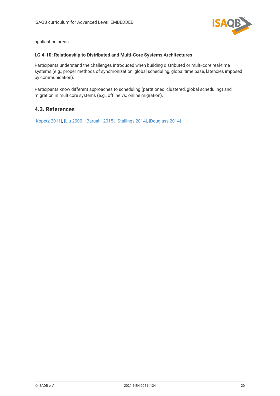

application areas.

#### <span id="page-21-1"></span>**LG 4-10: Relationship to Distributed and Multi-Core Systems Architectures**

Participants understand the challenges introduced when building distributed or multi-core real-time systems (e.g., proper methods of synchronization, global scheduling, global time base, latencies imposed by communication).

Participants know different approaches to scheduling (partitioned, clustered, global scheduling) and migration in multicore systems (e.g., offline vs. online migration).

## <span id="page-21-0"></span>**4.3. References**

[\[Kopetz 2011\],](#page-24-7) [\[Liu 2000\]](#page-25-9), [\[Baruah+2015\]](#page-24-8), [\[Stallings 2014\]](#page-25-10), [\[Douglass 2014\]](#page-24-9)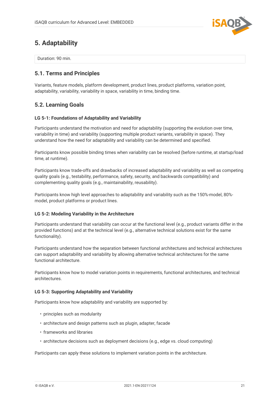

## <span id="page-22-0"></span>**5. Adaptability**

Duration: 90 min.

## <span id="page-22-1"></span>**5.1. Terms and Principles**

Variants, feature models, platform development, product lines, product platforms, variation point, adaptability, variability, variability in space, variability in time, binding time.

## <span id="page-22-2"></span>**5.2. Learning Goals**

#### <span id="page-22-3"></span>**LG 5-1: Foundations of Adaptability and Variability**

Participants understand the motivation and need for adaptability (supporting the evolution over time, variability in time) and variability (supporting multiple product variants, variability in space). They understand how the need for adaptability and variability can be determined and specified.

Participants know possible binding times when variability can be resolved (before runtime, at startup/load time, at runtime).

Participants know trade-offs and drawbacks of increased adaptability and variability as well as competing quality goals (e.g., testability, performance, safety, security, and backwards compatibility) and complementing quality goals (e.g., maintainability, reusability).

Participants know high level approaches to adaptability and variability such as the 150%-model, 80% model, product platforms or product lines.

#### <span id="page-22-4"></span>**LG 5-2: Modeling Variability in the Architecture**

Participants understand that variability can occur at the functional level (e.g., product variants differ in the provided functions) and at the technical level (e.g., alternative technical solutions exist for the same functionality).

Participants understand how the separation between functional architectures and technical architectures can support adaptability and variability by allowing alternative technical architectures for the same functional architecture.

Participants know how to model variation points in requirements, functional architectures, and technical architectures.

#### <span id="page-22-5"></span>**LG 5-3: Supporting Adaptability and Variability**

Participants know how adaptability and variability are supported by:

- principles such as modularity
- architecture and design patterns such as plugin, adapter, facade
- frameworks and libraries
- architecture decisions such as deployment decisions (e.g., edge vs. cloud computing)

Participants can apply these solutions to implement variation points in the architecture.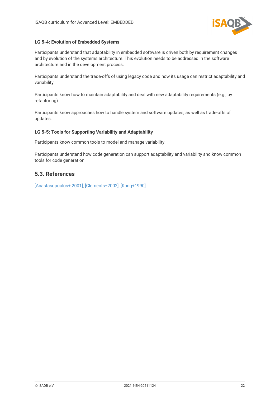

#### <span id="page-23-1"></span>**LG 5-4: Evolution of Embedded Systems**

Participants understand that adaptability in embedded software is driven both by requirement changes and by evolution of the systems architecture. This evolution needs to be addressed in the software architecture and in the development process.

Participants understand the trade-offs of using legacy code and how its usage can restrict adaptability and variability.

Participants know how to maintain adaptability and deal with new adaptability requirements (e.g., by refactoring).

Participants know approaches how to handle system and software updates, as well as trade-offs of updates.

#### <span id="page-23-2"></span>**LG 5-5: Tools for Supporting Variability and Adaptability**

Participants know common tools to model and manage variability.

Participants understand how code generation can support adaptability and variability and know common tools for code generation.

## <span id="page-23-0"></span>**5.3. References**

[\[Anastasopoulos+ 2001\]](#page-24-10), [\[Clements+2002\]](#page-24-11), [\[Kang+1990\]](#page-24-12)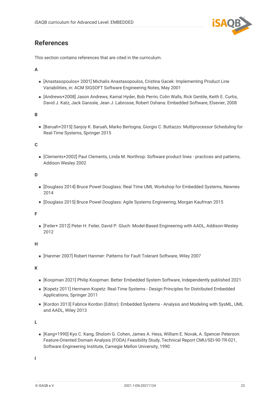

## <span id="page-24-0"></span>**References**

This section contains references that are cited in the curriculum.

#### **A**

- <span id="page-24-10"></span>■ [Anastasopoulos+ 2001] Michalis Anastasopoulos, Cristina Gacek: Implementing Product Line Variabilities, in: ACM SIGSOFT Software Engineering Notes, May 2001
- <span id="page-24-3"></span>▪ [Andrews+2008] Jason Andrews, Kamal Hyder, Bob Perrin, Colin Walls, Rick Gentile, Keith E. Curtis, David J. Katz, Jack Ganssle, Jean J. Labrosse, Robert Oshana: Embedded Software, Elsevier, 2008

**B**

<span id="page-24-8"></span>▪ [Baruah+2015] Sanjoy K. Baruah, Marko Bertogna, Giorgio C. Buttazzo: Multiprocessor Scheduling for Real-Time Systems, Springer 2015

#### **C**

<span id="page-24-11"></span>▪ [Clements+2002] Paul Clements, Linda M. Northrop: Software product lines - practices and patterns, Addison Wesley 2002

#### **D**

- <span id="page-24-9"></span>▪ [Douglass 2014] Bruce Powel Douglass: Real Time UML Workshop for Embedded Systems, Newnes 2014
- <span id="page-24-1"></span>▪ [Douglass 2015] Bruce Powel Douglass: Agile Systems Engineering, Morgan Kaufman 2015

**F**

<span id="page-24-4"></span>▪ [Feiler+ 2012] Peter H. Feiler, David P. Gluch: Model-Based Engineering with AADL, Addison-Wesley 2012

**H**

<span id="page-24-6"></span>■ [Hanmer 2007] Robert Hanmer: Patterns for Fault Tolerant Software, Wiley 2007

**K**

- <span id="page-24-2"></span>▪ [Koopman 2021] Philip Koopman: Better Embedded System Software, Independently published 2021
- <span id="page-24-7"></span>▪ [Kopetz 2011] Hermann Kopetz: Real-Time Systems - Design Principles for Distributed Embedded Applications, Springer 2011
- <span id="page-24-5"></span>▪ [Kordon 2013] Fabrice Kordon (Editor): Embedded Systems - Analysis and Modeling with SysML, UML and AADL, Wiley 2013

**L**

<span id="page-24-12"></span>■ [Kang+1990] Kyo C. Kang, Sholom G. Cohen, James A. Hess, William E. Novak, A. Spencer Peterson: Feature-Oriented Domain Analysis (FODA) Feasibility Study, Technical Report CMU/SEI-90-TR-021, Software Engineering Institute, Carnegie Mellon University, 1990

**I**